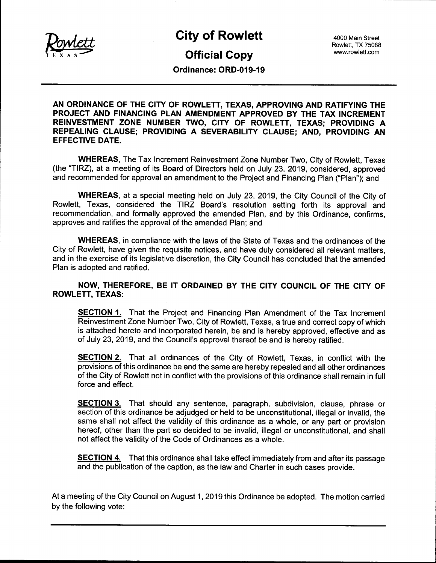

# City of Rowlett 4000 Main Street

# **Official Copy** www.rowlett.com

Rowlett, TX 75088

Ordinance: ORD-019- 19

AN ORDINANCE OF THE CITY OF ROWLETT, TEXAS, APPROVING AND RATIFYING THE PROJECT AND FINANCING PLAN AMENDMENT APPROVED BY THE TAX INCREMENT REINVESTMENT ZONE NUMBER TWO, CITY OF ROWLETT, TEXAS; PROVIDING A REPEALING CLAUSE; PROVIDING A SEVERABILITY CLAUSE; AND, PROVIDING AN EFFECTIVE DATE.

WHEREAS, The Tax Increment Reinvestment Zone Number Two, City of Rowlett, Texas the "TIRZ), at <sup>a</sup> meeting of its Board of Directors held on July 23, 2019, considered, approved and recommended for approval an amendment to the Project and Financing Plan (" Plan"); and

WHEREAS, at a special meeting held on July 23, 2019, the City Council of the City of Rowlett, Texas, considered the TIRZ Board's resolution setting forth its approval and recommendation, and formally approved the amended Plan, and by this Ordinance, confirms, approves and ratifies the approval of the amended Plan; and

WHEREAS, in compliance with the laws of the State of Texas and the ordinances of the City of Rowlett, have given the requisite notices, and have duly considered all relevant matters, and in the exercise of its legislative discretion, the City Council has concluded that the amended Plan is adopted and ratified.

## NOW, THEREFORE, BE IT ORDAINED BY THE CITY COUNCIL OF THE CITY OF ROWLETT, TEXAS:

**SECTION 1.** That the Project and Financing Plan Amendment of the Tax Increment Reinvestment Zone Number Two, City of Rowlett, Texas, a true and correct copy of which is attached hereto and incorporated herein, be and is hereby approved, effective and as of July 23, 2019, and the Council's approval thereof be and is hereby ratified.

SECTION 2. That all ordinances of the City of Rowlett, Texas, in conflict with the provisions of this ordinance be and the same are hereby repealed and all other ordinances of the City of Rowlett not in conflict with the provisions of this ordinance shall remain in full force and effect.

**SECTION 3.** That should any sentence, paragraph, subdivision, clause, phrase or section of this ordinance be adjudged or held to be unconstitutional, illegal or invalid, the same shall not affect the validity of this ordinance as a whole, or any part or provision hereof, other than the part so decided to be invalid, illegal or unconstitutional, and shall not affect the validity of the Code of Ordinances as a whole.

SECTION 4. That this ordinance shall take effect immediately from and after its passage and the publication of the caption, as the law and Charter in such cases provide.

At a meeting of the City Council on August 1, 2019 this Ordinance be adopted. The motion carried by the following vote: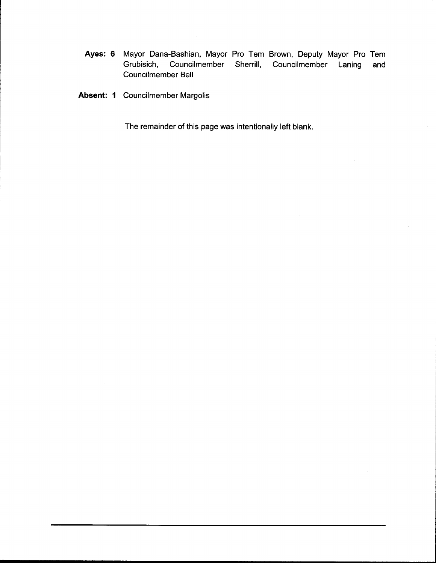- Ayes: 6 Mayor Dana-Bashian, Mayor Pro Tem Brown, Deputy Mayor Pro Tem<br>Grubisich, Councilmember Sherrill, Councilmember Laning and Councilmember Sherrill, Councilmember Laning and Councilmember Bell
- Absent: <sup>1</sup> Councilmember Margolis

The remainder of this page was intentionally left blank.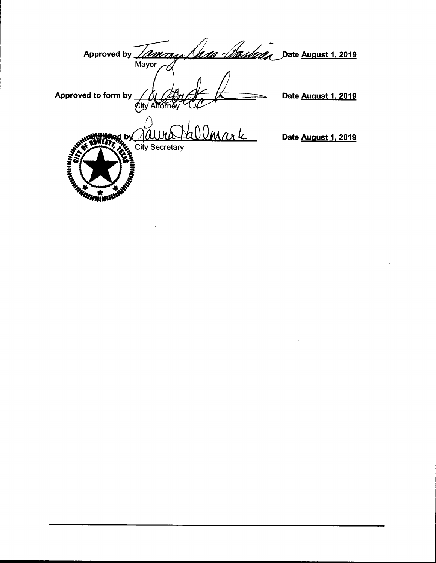| <b>Approved by</b><br><u> UMMai</u><br>Mayor | Date August 1, 2019 |
|----------------------------------------------|---------------------|
| Approved to form by<br>ttornev               | Date August 1, 2019 |
| <b>SER</b><br><b>City Secretary</b><br>Ń.    | Date August 1, 2019 |
| <b>CONTRACTOR</b><br><b>MANA</b>             |                     |

 $\mathcal{L}^{\text{max}}_{\text{max}}$ 

 $\label{eq:2.1} \frac{1}{\sqrt{2}}\left(\frac{1}{\sqrt{2}}\right)^{2} \left(\frac{1}{\sqrt{2}}\right)^{2} \left(\frac{1}{\sqrt{2}}\right)^{2} \left(\frac{1}{\sqrt{2}}\right)^{2} \left(\frac{1}{\sqrt{2}}\right)^{2} \left(\frac{1}{\sqrt{2}}\right)^{2} \left(\frac{1}{\sqrt{2}}\right)^{2} \left(\frac{1}{\sqrt{2}}\right)^{2} \left(\frac{1}{\sqrt{2}}\right)^{2} \left(\frac{1}{\sqrt{2}}\right)^{2} \left(\frac{1}{\sqrt{2}}\right)^{2} \left(\$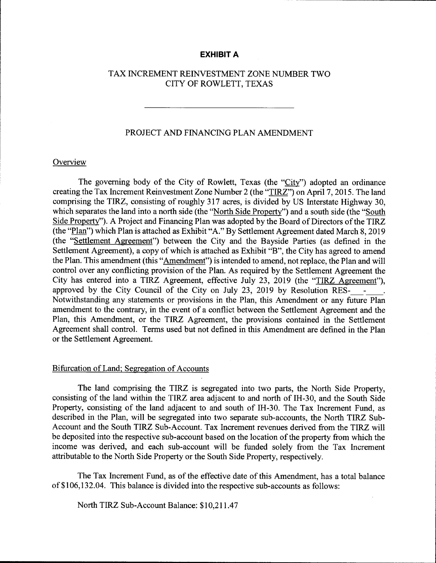## EXHIBIT A

## TAX INCREMENT REINVESTMENT ZONE NUMBER TWO CITY OF ROWLETT, TEXAS

## PROJECT AND FINANCING PLAN AMENDMENT

#### **Overview**

The governing body of the City of Rowlett, Texas (the "City") adopted an ordinance creating the Tax Increment Reinvestment Zone Number 2 (the "TIRZ") on April 7, 2015. The land comprising the TIRZ, consisting of roughly 317 acres, is divided by US Interstate Highway 30, which separates the land into a north side (the "North Side Property") and a south side (the "South Side Property"). A Project and Financing Plan was adopted by the Board of Directors of the TIRZ (the "Plan") which Plan is attached as Exhibit "A." By Settlement Agreement dated March 8, 2019 (the "Settlement Agreement") between the City and the Bayside Parties (as defined in the Settlement Agreement), a copy of which is attached as Exhibit "B", the City has agreed to amend the Plan. This amendment (this "Amendment") is intended to amend, not replace, the Plan and will control over any conflicting provision of the Plan. As required by the Settlement Agreement the City has entered into a TIRZ Agreement, effective July 23, 2019 (the "TIRZ Agreement"), approved by the City Council of the City on July 23, <sup>2019</sup> by Resolution RES- - . Notwithstanding any statements or provisions in the Plan, this Amendment or any future Plan amendment to the contrary, in the event of <sup>a</sup> conflict between the Settlement Agreement and the Plan, this Amendment, or the TIRZ Agreement, the provisions contained in the Settlement Agreement shall control. Terms used but not defined in this Amendment are defined in the Plan or the Settlement Agreement.

### Bifurcation of Land; Segregation of Accounts

The land comprising the TIRZ is segregated into two parts, the North Side Property, consisting of the land within the TIRZ area adjacent to and north of IH-30, and the South Side Property, consisting of the land adjacent to and south of IH-30. The Tax Increment Fund, as described in the Plan, will be segregated into two separate sub- accounts, the North TIRZ Sub-Account and the South TIRZ Sub-Account. Tax Increment revenues derived from the TIRZ will be deposited into the respective sub-account based on the location of the property from which the income was derived, and each sub- account will be funded solely from the Tax Increment attributable to the North Side Property or the South Side Property, respectively.

The Tax Increment Fund, as of the effective date of this Amendment, has a total balance of\$106, 132. 04. This balance is divided into the respective sub- accounts as follows:

North TIRZ Sub-Account Balance: \$10,211.47